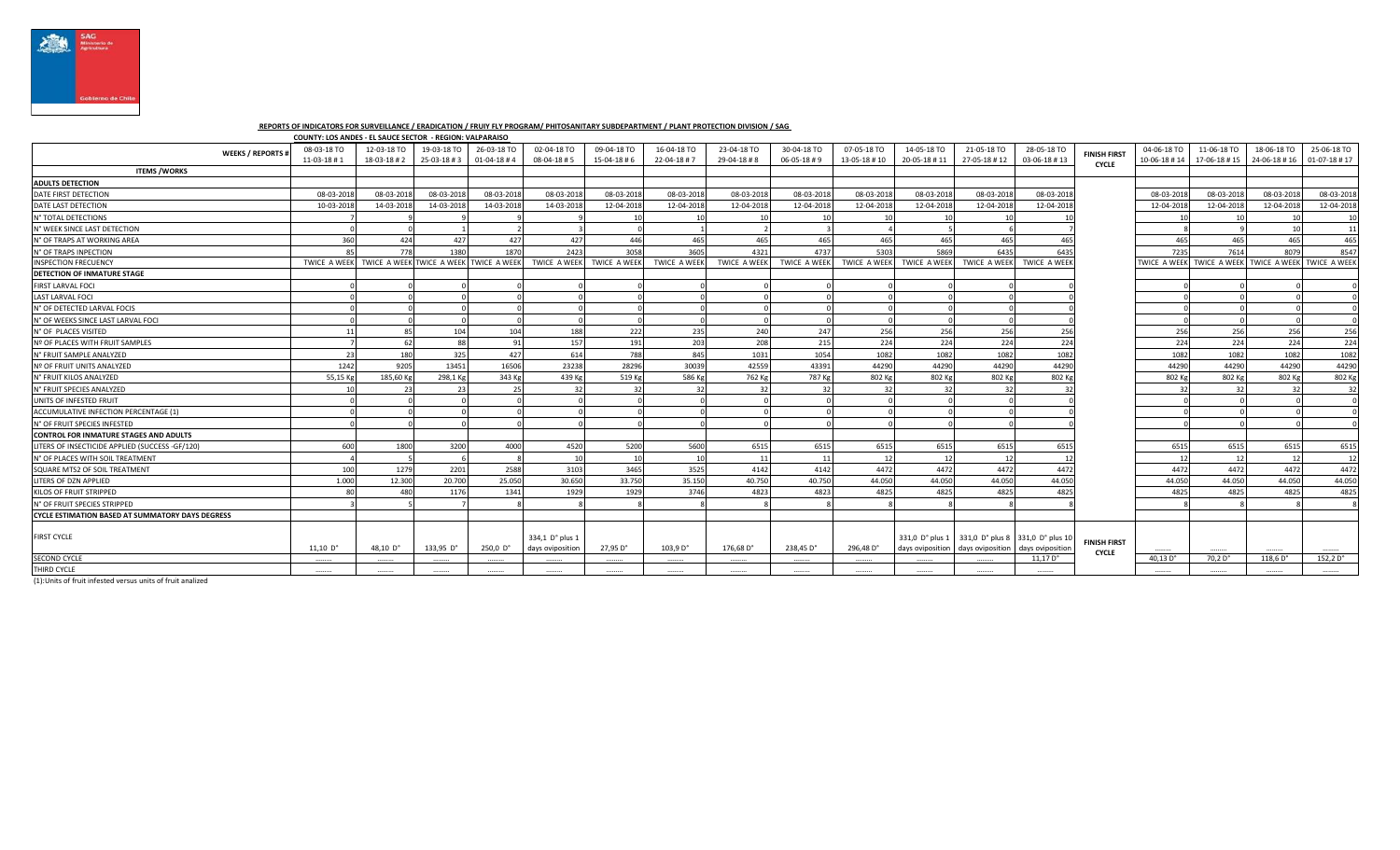

## **REPORTS OF INDICATORS FOR SURVEILLANCE / ERADICATION / FRUIY FLY PROGRAM/ PHITOSANITARY SUBDEPARTMENT / PLANT PROTECTION DIVISION / SAG**

|                                                         | COUNTY: LOS ANDES - EL SAUCE SECTOR - REGION: VALPARAISO |                                        |             |                     |                                     |                           |                     |                     |                     |              |                                     |                  |                                                      |                                     |              |              |                                                     |                  |
|---------------------------------------------------------|----------------------------------------------------------|----------------------------------------|-------------|---------------------|-------------------------------------|---------------------------|---------------------|---------------------|---------------------|--------------|-------------------------------------|------------------|------------------------------------------------------|-------------------------------------|--------------|--------------|-----------------------------------------------------|------------------|
| <b>WEEKS / REPORTS #</b>                                | 08-03-18 TO                                              | 12-03-18 TO                            | 19-03-18 TO | 26-03-18 TO         | 02-04-18 TO                         | 09-04-18 TO               | 16-04-18 TO         | 23-04-18 TO         | 30-04-18 TO         | 07-05-18 TO  | 14-05-18 TO                         | 21-05-18 TO      | 28-05-18 TO                                          | <b>FINISH FIRST</b>                 | 04-06-18 TO  | 11-06-18 TO  | 18-06-18 TO                                         | 25-06-18 TO      |
|                                                         | 11-03-18#1                                               | 18-03-18 #2                            | 25-03-18#3  | 01-04-18#4          | $08 - 04 - 18 + 5$                  | $15-04-18 \# 6$           | 22-04-18 #7         | 29-04-18#8          | 06-05-18#9          | 13-05-18 #10 | 20-05-18 #11                        | 27-05-18 #12     | 03-06-18 #13                                         | <b>CYCLE</b>                        | 10-06-18 #14 | 17-06-18 #15 | 24-06-18 #16                                        | $01-07-18 \# 17$ |
| <b>ITEMS /WORKS</b>                                     |                                                          |                                        |             |                     |                                     |                           |                     |                     |                     |              |                                     |                  |                                                      |                                     |              |              |                                                     |                  |
| <b>ADULTS DETECTION</b>                                 |                                                          |                                        |             |                     |                                     |                           |                     |                     |                     |              |                                     |                  |                                                      |                                     |              |              |                                                     |                  |
| DATE FIRST DETECTION                                    | 08-03-2018                                               | 08-03-2018                             | 08-03-201   | 08-03-2018          | 08-03-2018                          | 08-03-201                 | 08-03-2018          | 08-03-201           | 08-03-201           | 08-03-201    | 08-03-2018                          | 08-03-2018       | 08-03-2018                                           |                                     | 08-03-2018   | 08-03-201    | 08-03-201                                           | 08-03-2018       |
| DATE LAST DETECTION                                     | 10-03-2018                                               | 14-03-2018                             | 14-03-201   | 14-03-2018          | 14-03-2018                          | 12-04-2018                | 12-04-2018          | 12-04-2018          | 12-04-2018          | 12-04-201    | 12-04-2018                          | 12-04-2018       | 12-04-2018                                           |                                     | 12-04-2018   | 12-04-2018   | 12-04-201                                           | 12-04-2018       |
| N° TOTAL DETECTIONS                                     |                                                          |                                        |             |                     |                                     | 10                        |                     |                     |                     |              | 10                                  | 10               |                                                      |                                     |              |              |                                                     | 10               |
| N° WEEK SINCE LAST DETECTION                            |                                                          |                                        |             |                     |                                     |                           |                     |                     |                     |              |                                     |                  |                                                      |                                     |              |              |                                                     | 11               |
| N° OF TRAPS AT WORKING AREA                             | 360                                                      | 424                                    | 427         | 427                 | 427                                 | 446                       | 465                 | 465                 | 46                  | 465          | 465                                 | 465              | 465                                                  |                                     | 465          | 465          | 465                                                 | 465              |
| N° OF TRAPS INPECTION                                   | 85                                                       | 778                                    | 1380        | 1870                | 2423                                | 3058                      | 3605                | 4321                | 473                 | 5303         | 5869                                | 6435             | 6435                                                 |                                     | 7235         | 7614         | 8079                                                | 8547             |
| <b>INSPECTION FRECUENCY</b>                             | <b>TWICE A WEEK</b>                                      | TWICE A WEEK TWICE A WEEK TWICE A WEEK |             |                     |                                     | TWICE A WEEK TWICE A WEEK | <b>TWICE A WEEK</b> | <b>TWICE A WEEK</b> | <b>TWICE A WEEK</b> | TWICE A WEEK | <b>TWICE A WEEK</b>                 | TWICE A WEEK     | TWICE A WEEK                                         |                                     |              |              | TWICE A WEEK TWICE A WEEK TWICE A WEEK TWICE A WEEK |                  |
| <b>DETECTION OF INMATURE STAGE</b>                      |                                                          |                                        |             |                     |                                     |                           |                     |                     |                     |              |                                     |                  |                                                      |                                     |              |              |                                                     |                  |
| FIRST LARVAL FOCI                                       |                                                          |                                        |             |                     |                                     |                           |                     |                     |                     |              |                                     |                  |                                                      |                                     |              |              |                                                     |                  |
| <b>LAST LARVAL FOCI</b>                                 |                                                          |                                        |             |                     |                                     |                           |                     |                     |                     |              |                                     |                  |                                                      |                                     |              |              |                                                     |                  |
| N° OF DETECTED LARVAL FOCIS                             |                                                          |                                        |             |                     |                                     |                           |                     |                     |                     |              |                                     |                  |                                                      |                                     |              |              |                                                     |                  |
| N° OF WEEKS SINCE LAST LARVAL FOCI                      |                                                          |                                        |             |                     |                                     |                           |                     |                     |                     |              |                                     |                  |                                                      |                                     |              |              |                                                     |                  |
| N° OF PLACES VISITED                                    | 11                                                       | 85                                     | 104         | 104                 | 188                                 | 222                       | 235                 | 240                 | 24                  | 256          | 256                                 | 256              | 256                                                  |                                     | 256          | 256          | 256                                                 | 256              |
| Nº OF PLACES WITH FRUIT SAMPLES                         |                                                          | 62                                     | 88          |                     | 157                                 | 191                       | 203                 | 208                 | 215                 | 224          | 224                                 | 224              | 224                                                  |                                     | 224          | 224          | 224                                                 | 224              |
| N° FRUIT SAMPLE ANALYZED                                | 23                                                       | 180                                    | 325         | 427                 | 614                                 | 788                       | 845                 | 1031                | 1054                | 1082         | 1082                                | 1082             | 1082                                                 |                                     | 1082         | 1082         | 1082                                                | 1082             |
| Nº OF FRUIT UNITS ANALYZED                              | 1242                                                     | 9205                                   | 13451       | 16506               | 23238                               | 28296                     | 30039               | 42559               | 4339                | 44290        | 44290                               | 44290            | 44290                                                |                                     | 44290        | 44290        | 44290                                               | 44290            |
| N° FRUIT KILOS ANALYZED                                 | 55,15 Kg                                                 | 185,60 Kg                              | 298,1 Kg    | 343 Kg              | 439 Kg                              | 519 Kg                    | 586 Kg              | 762 Kg              | 787 Kg              | 802 Kg       | 802 Kg                              | 802 Kg           | 802 Kg                                               |                                     | 802 Kg       | 802 Kg       | 802 Kg                                              | 802 Kg           |
| N° FRUIT SPECIES ANALYZED                               |                                                          | - 23                                   | 23          |                     | 32                                  | 32                        |                     | 32                  |                     | 32           |                                     | 32               |                                                      |                                     | 32           | 32           | 32                                                  | 32               |
| UNITS OF INFESTED FRUIT                                 |                                                          |                                        |             |                     |                                     |                           |                     |                     |                     |              |                                     |                  |                                                      |                                     |              |              |                                                     |                  |
| ACCUMULATIVE INFECTION PERCENTAGE (1)                   |                                                          |                                        |             |                     |                                     |                           |                     |                     |                     |              |                                     |                  |                                                      |                                     |              |              |                                                     |                  |
| N° OF FRUIT SPECIES INFESTED                            |                                                          |                                        |             |                     |                                     |                           |                     |                     |                     |              |                                     |                  |                                                      |                                     |              |              |                                                     |                  |
| <b>CONTROL FOR INMATURE STAGES AND ADULTS</b>           |                                                          |                                        |             |                     |                                     |                           |                     |                     |                     |              |                                     |                  |                                                      |                                     |              |              |                                                     |                  |
| LITERS OF INSECTICIDE APPLIED (SUCCESS -GF/120)         | 600                                                      | 1800                                   | 3200        | 4000                | 4520                                | 5200                      | 5600                | 6515                | 651                 | 6515         | 6515                                | 6515             | 6515                                                 |                                     | 6515         | 6515         | 6515                                                | 6515             |
| N° OF PLACES WITH SOIL TREATMENT                        |                                                          |                                        |             |                     | 10                                  | 10                        |                     | 11                  |                     | 12           | $-12$                               | 12               | 12                                                   |                                     |              | 12           | 12                                                  | 12               |
| SQUARE MTS2 OF SOIL TREATMENT                           | 100                                                      | 1279                                   | 2201        | 2588                | 3103                                | 3465                      | 3525                | 4142                | 4142                | 4472         | 4472                                | 4472             | 4472                                                 |                                     | 4472         | 4472         | 4472                                                | 4472             |
| LITERS OF DZN APPLIED                                   | 1.000                                                    | 12.300                                 | 20,700      | 25.050              | 30.650                              | 33.750                    | 35.150              | 40.750              | 40.75               | 44,050       | 44.050                              | 44.050           | 44.050                                               |                                     | 44.050       | 44.050       | 44.050                                              | 44.050           |
| KILOS OF FRUIT STRIPPED                                 |                                                          | 480                                    | 1176        | 134                 | 1929                                | 1929                      | 3746                | 4823                | 4823                | 4825         | 4825                                | 4825             | 4825                                                 |                                     | 4825         | 4825         | 4825                                                | 4825             |
| N° OF FRUIT SPECIES STRIPPED                            |                                                          |                                        |             |                     |                                     |                           |                     |                     |                     |              |                                     |                  |                                                      |                                     |              |              |                                                     |                  |
| <b>CYCLE ESTIMATION BASED AT SUMMATORY DAYS DEGRESS</b> |                                                          |                                        |             |                     |                                     |                           |                     |                     |                     |              |                                     |                  |                                                      |                                     |              |              |                                                     |                  |
| <b>FIRST CYCLE</b>                                      | $11,10$ D°                                               | 48,10 D°                               | $133,95$ D° | $250,0$ $D^{\circ}$ | 334.1 D° plus 1<br>days oviposition | 27,95 D°                  | 103,9 D°            | 176,68 D°           | 238.45 D°           | 296.48 D°    | 331,0 D° plus 1<br>days oviposition | days oviposition | 331,0 D° plus 8 331,0 D° plus 10<br>days oviposition | <b>FINISH FIRST</b><br><b>CYCLE</b> |              |              |                                                     |                  |
| <b>SECOND CYCLE</b>                                     |                                                          |                                        |             |                     |                                     |                           |                     |                     |                     |              |                                     |                  | $11,17$ D $^{\circ}$                                 |                                     | 40,13 D°     | 70,2 D°      | 118,6 D°                                            | $152,2D^\circ$   |
| THIRD CYCLE                                             |                                                          |                                        |             |                     |                                     |                           |                     |                     |                     |              |                                     |                  |                                                      |                                     |              |              |                                                     |                  |

(1):Units of fruit infested versus units of fruit analized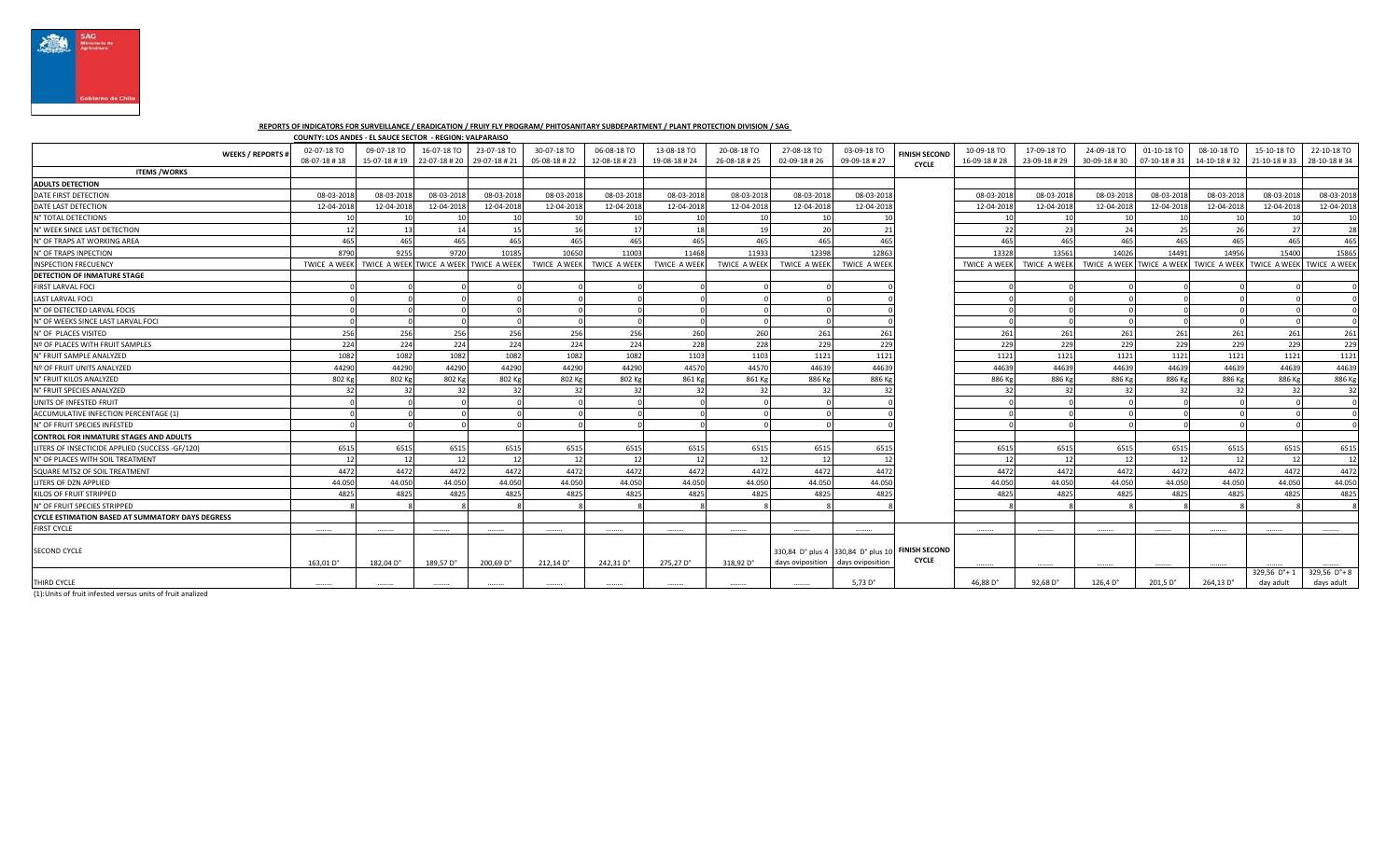

## **REPORTS OF INDICATORS FOR SURVEILLANCE / ERADICATION / FRUIY FLY PROGRAM/ PHITOSANITARY SUBDEPARTMENT / PLANT PROTECTION DIVISION / SAG**

|                                                         | COUNTY: LOS ANDES - EL SAUCE SECTOR - REGION: VALPARAISO |                             |                             |                                        |                             |                             |                             |                             |                             |                                                                      |                                      |                             |                             |                             |                             |                                        |                             |                             |
|---------------------------------------------------------|----------------------------------------------------------|-----------------------------|-----------------------------|----------------------------------------|-----------------------------|-----------------------------|-----------------------------|-----------------------------|-----------------------------|----------------------------------------------------------------------|--------------------------------------|-----------------------------|-----------------------------|-----------------------------|-----------------------------|----------------------------------------|-----------------------------|-----------------------------|
| <b>WEEKS / REPORTS #</b>                                | 02-07-18 TO<br>08-07-18 #18                              | 09-07-18 TO<br>15-07-18 #19 | 16-07-18 TO<br>22-07-18 #20 | 23-07-18 TO<br>29-07-18 #21            | 30-07-18 TO<br>05-08-18 #22 | 06-08-18 TO<br>12-08-18 #23 | 13-08-18 TO<br>19-08-18 #24 | 20-08-18 TO<br>26-08-18 #25 | 27-08-18 TO<br>02-09-18 #26 | 03-09-18 TO<br>09-09-18 #27                                          | <b>FINISH SECOND</b><br><b>CYCLE</b> | 10-09-18 TO<br>16-09-18 #28 | 17-09-18 TO<br>23-09-18 #29 | 24-09-18 TO<br>30-09-18 #30 | 01-10-18 TO<br>07-10-18 #31 | 08-10-18 TO<br>14-10-18 #32            | 15-10-18 TO<br>21-10-18 #33 | 22-10-18 TO<br>28-10-18 #34 |
| <b>ITEMS / WORKS</b>                                    |                                                          |                             |                             |                                        |                             |                             |                             |                             |                             |                                                                      |                                      |                             |                             |                             |                             |                                        |                             |                             |
| <b>ADULTS DETECTION</b>                                 |                                                          |                             |                             |                                        |                             |                             |                             |                             |                             |                                                                      |                                      |                             |                             |                             |                             |                                        |                             |                             |
| DATE FIRST DETECTION                                    | 08-03-201                                                | 08-03-201                   | 08-03-2018                  | 08-03-2018                             | 08-03-2018                  | 08-03-201                   | 08-03-2018                  | 08-03-2018                  | 08-03-2018                  | 08-03-201                                                            |                                      | 08-03-201                   | 08-03-2018                  | 08-03-201                   | 08-03-201                   | 08-03-201                              | 08-03-201                   | 08-03-2018                  |
| DATE LAST DETECTION                                     | 12-04-2018                                               | 12-04-201                   | 12-04-2018                  | 12-04-2018                             | 12-04-2018                  | 12-04-2018                  | 12-04-2018                  | 12-04-2018                  | 12-04-2018                  | 12-04-201                                                            |                                      | 12-04-2018                  | 12-04-2018                  | 12-04-2018                  | 12-04-2018                  | 12-04-201                              | 12-04-2018                  | 12-04-2018                  |
| N° TOTAL DETECTIONS                                     |                                                          |                             | 10                          |                                        |                             |                             |                             |                             |                             |                                                                      |                                      |                             | 10                          |                             |                             |                                        |                             | 10                          |
| N° WEEK SINCE LAST DETECTION                            |                                                          | 13                          | 14                          | 15                                     | 16                          | 17                          | 18                          |                             | 20                          | - 21                                                                 |                                      | -22                         | 23                          | 24                          | 25                          | 26                                     | - 27                        | -28                         |
| N° OF TRAPS AT WORKING AREA                             | 465                                                      | 465                         | 465                         | 465                                    | 465                         | 465                         | 465                         | 465                         | 465                         | 465                                                                  |                                      | 465                         | 465                         | 465                         | 465                         | 465                                    | 465                         | 465                         |
| N° OF TRAPS INPECTION                                   | 8790                                                     | 9255                        | 9720                        | 10185                                  | 10650                       | 11003                       | 11468                       | 11933                       | 12398                       | 12863                                                                |                                      | 13328                       | 13561                       | 14026                       | 14491                       | 14956                                  | 15400                       | 15865                       |
| <b>INSPECTION FRECUENCY</b>                             | <b>TWICE A WEEK</b>                                      |                             |                             | TWICE A WEEK TWICE A WEEK TWICE A WEEK | <b>TWICE A WEEK</b>         | <b>TWICE A WEEK</b>         | <b>TWICE A WEEK</b>         | <b>TWICE A WEEK</b>         | <b>TWICE A WEEK</b>         | <b>TWICE A WEEK</b>                                                  |                                      | <b>TWICE A WEEK</b>         | TWICE A WEEK                |                             |                             | TWICE A WEEK TWICE A WEEK TWICE A WEEK | TWICE A WEEK TWICE A WEEK   |                             |
| <b>DETECTION OF INMATURE STAGE</b>                      |                                                          |                             |                             |                                        |                             |                             |                             |                             |                             |                                                                      |                                      |                             |                             |                             |                             |                                        |                             |                             |
| FIRST LARVAL FOCI                                       |                                                          |                             |                             |                                        |                             |                             |                             |                             |                             |                                                                      |                                      |                             |                             |                             |                             |                                        |                             |                             |
| <b>LAST LARVAL FOCI</b>                                 |                                                          |                             |                             |                                        |                             |                             |                             |                             |                             |                                                                      |                                      |                             |                             |                             |                             |                                        |                             |                             |
| N° OF DETECTED LARVAL FOCIS                             |                                                          |                             |                             |                                        |                             |                             |                             |                             |                             |                                                                      |                                      |                             |                             |                             |                             |                                        |                             |                             |
| N° OF WEEKS SINCE LAST LARVAL FOCI                      |                                                          |                             |                             |                                        |                             |                             |                             |                             |                             |                                                                      |                                      |                             |                             |                             |                             |                                        |                             |                             |
| N° OF PLACES VISITED                                    | 256                                                      | 256                         | 256                         | 256                                    | 256                         | 256                         | 260                         | 260                         | 261                         | 261                                                                  |                                      | 261                         | 261                         | 261                         | 261                         | 261                                    | 261                         | 261                         |
| Nº OF PLACES WITH FRUIT SAMPLES                         | 224                                                      | 224                         | 224                         | 224                                    | 224                         | 224                         | 228                         | 228                         | 229                         | 229                                                                  |                                      | 229                         | 229                         | 229                         | 229                         | 229                                    | 229                         | 22 <sup>9</sup>             |
| N° FRUIT SAMPLE ANALYZED                                | 1082                                                     | 1082                        | 1082                        | 1082                                   | 1082                        | 1082                        | 1103                        | 1103                        | 1121                        | 1121                                                                 |                                      | 1121                        | 1121                        | 1121                        | 1121                        | 1121                                   | 1121                        | 1121                        |
| Nº OF FRUIT UNITS ANALYZED                              | 44290                                                    | 44290                       | 44290                       | 44290                                  | 44290                       | 44290                       | 44570                       | 44570                       | 44639                       | 44639                                                                |                                      | 44639                       | 44639                       | 44639                       | 44639                       | 44639                                  | 44639                       | 44639                       |
| N° FRUIT KILOS ANALYZED                                 | 802 Kg                                                   | 802 Kg                      | 802 Kg                      | 802 Kg                                 | 802 Kg                      | 802 Kg                      | 861 Kg                      | 861 Kg                      | 886 Kg                      | 886 Kg                                                               |                                      | 886 Kg                      | 886 Kg                      | 886 Kg                      | 886 Kg                      | 886 Kg                                 | 886 Kg                      | 886 Kg                      |
| N° FRUIT SPECIES ANALYZED                               |                                                          |                             | 32                          | 32                                     | -32                         | 32                          | -32                         | 32                          |                             |                                                                      |                                      | 32                          | 32                          |                             | 32                          | -31                                    |                             | 32                          |
| UNITS OF INFESTED FRUIT                                 |                                                          |                             |                             |                                        |                             |                             |                             |                             |                             |                                                                      |                                      |                             |                             |                             |                             |                                        |                             |                             |
| ACCUMULATIVE INFECTION PERCENTAGE (1)                   |                                                          |                             |                             |                                        |                             |                             |                             |                             |                             |                                                                      |                                      |                             |                             |                             |                             |                                        |                             |                             |
| N° OF FRUIT SPECIES INFESTED                            |                                                          |                             |                             |                                        |                             |                             |                             |                             |                             |                                                                      |                                      |                             |                             |                             |                             |                                        |                             |                             |
| <b>CONTROL FOR INMATURE STAGES AND ADULTS</b>           |                                                          |                             |                             |                                        |                             |                             |                             |                             |                             |                                                                      |                                      |                             |                             |                             |                             |                                        |                             |                             |
| LITERS OF INSECTICIDE APPLIED (SUCCESS -GF/120)         | 6515                                                     | 6515                        | 6515                        | 6515                                   | 6515                        | 6515                        | 6515                        | 6515                        | 6515                        | 6515                                                                 |                                      | 6515                        | 6515                        | 6515                        | 6515                        | 6515                                   | 6515                        | 6515                        |
| N° OF PLACES WITH SOIL TREATMENT                        |                                                          | 12                          | 12                          | 12                                     | 12                          |                             | -12                         | $\overline{1}$              | $^{\circ}$                  | $\mathbf{1}$                                                         |                                      | 12                          | 12                          | 12                          | 12                          |                                        | 17                          | - 12                        |
| SQUARE MTS2 OF SOIL TREATMENT                           | 447                                                      | 4472                        | 4472                        | 4472                                   | 4472                        | 4472                        | 4472                        | 4472                        | 4472                        | 4472                                                                 |                                      | 4472                        | 4472                        | 4472                        | 4472                        | 4472                                   | 4472                        | 4472                        |
| LITERS OF DZN APPLIED                                   | 44.05                                                    | 44.050                      | 44.050                      | 44.050                                 | 44.050                      | 44.050                      | 44.050                      | 44.050                      | 44.050                      | 44.050                                                               |                                      | 44.050                      | 44.050                      | 44.050                      | 44.050                      | 44.050                                 | 44.050                      | 44.050                      |
| KILOS OF FRUIT STRIPPED                                 | 482                                                      | 4825                        | 4825                        | 4825                                   | 4825                        | 4825                        | 4825                        | 4825                        | 4825                        | 4825                                                                 |                                      | 4825                        | 4825                        | 4825                        | 4825                        | 4825                                   | 4825                        | 4825                        |
| N° OF FRUIT SPECIES STRIPPED                            |                                                          |                             |                             |                                        |                             |                             |                             |                             |                             |                                                                      |                                      |                             |                             |                             |                             |                                        |                             |                             |
| <b>CYCLE ESTIMATION BASED AT SUMMATORY DAYS DEGRESS</b> |                                                          |                             |                             |                                        |                             |                             |                             |                             |                             |                                                                      |                                      |                             |                             |                             |                             |                                        |                             |                             |
| <b>FIRST CYCLE</b>                                      |                                                          |                             | .                           |                                        | .                           | .                           | .                           | .                           | .                           | .                                                                    |                                      | .                           |                             |                             | .                           |                                        |                             | .                           |
| <b>SECOND CYCLE</b>                                     | 163.01 D°                                                | 182.04 D°                   | 189,57 D°                   | 200.69 D°                              | 212,14 D°                   | 242,31 D°                   | 275.27 D°                   | 318.92 D°                   | days oviposition            | 330,84 D° plus 4 330,84 D° plus 10 FINISH SECOND<br>days oviposition | <b>CYCLE</b>                         |                             |                             |                             |                             |                                        |                             |                             |
| THIRD CYCLE                                             |                                                          |                             |                             |                                        |                             |                             |                             |                             |                             | 5.73 $D^{\circ}$                                                     |                                      | 46.88 D°                    | 92.68 D°                    |                             |                             |                                        | 329,56 D°+                  | $329,56$ $D^{\circ}+8$      |
|                                                         |                                                          |                             |                             |                                        |                             |                             |                             |                             |                             |                                                                      |                                      |                             |                             | 126,4 D°                    | 201,5 D°                    | 264,13 D°                              | day adult                   | days adult                  |

(1):Units of fruit infested versus units of fruit analized